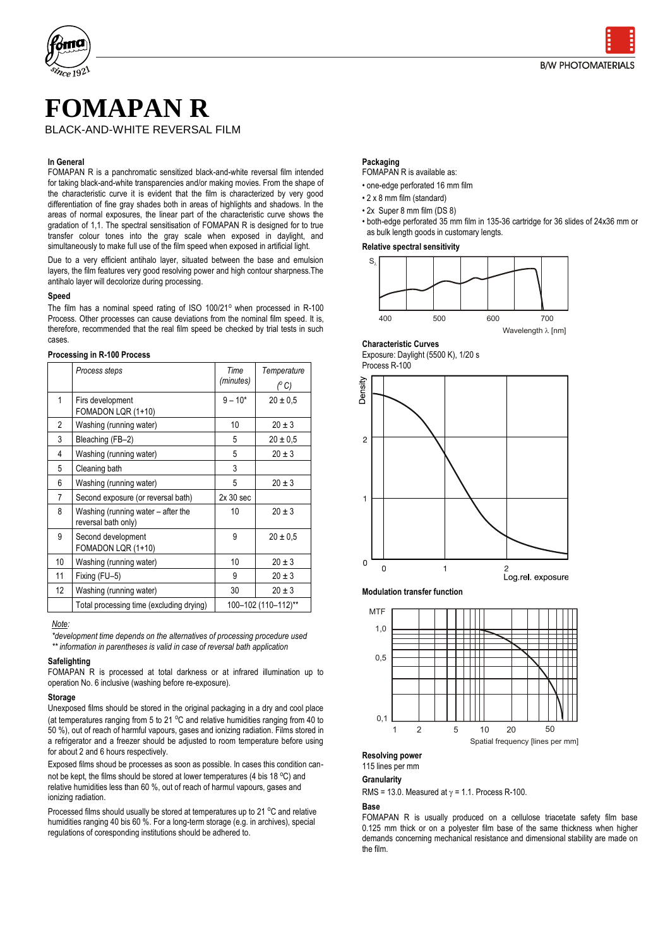

# **FOMAPAN R** BLACK-AND-WHITE REVERSAL FILM

#### **In General**

FOMAPAN R is a panchromatic sensitized black-and-white reversal film intended for taking black-and-white transparencies and/or making movies. From the shape of the characteristic curve it is evident that the film is characterized by very good differentiation of fine gray shades both in areas of highlights and shadows. In the areas of normal exposures, the linear part of the characteristic curve shows the gradation of 1,1. The spectral sensitisation of FOMAPAN R is designed for to true transfer colour tones into the gray scale when exposed in daylight, and simultaneously to make full use of the film speed when exposed in artificial light.

Due to a very efficient antihalo layer, situated between the base and emulsion layers, the film features very good resolving power and high contour sharpness.The antihalo layer will decolorize during processing.

#### **Speed**

The film has a nominal speed rating of ISO 100/21° when processed in R-100 Process. Other processes can cause deviations from the nominal film speed. It is, therefore, recommended that the real film speed be checked by trial tests in such cases.

#### **Processing in R-100 Process**

|                 | Process steps                                             | Time<br>(minutes) | Temperature<br>$(^{\circ}C)$ |  |
|-----------------|-----------------------------------------------------------|-------------------|------------------------------|--|
| 1               | Firs development<br>FOMADON LQR (1+10)                    | $9 - 10*$         | $20 \pm 0.5$                 |  |
| $\overline{2}$  | Washing (running water)                                   | 10                | $20 \pm 3$                   |  |
| 3               | Bleaching (FB-2)                                          | 5                 | $20 \pm 0.5$                 |  |
| 4               | Washing (running water)                                   | 5                 | $20 \pm 3$                   |  |
| 5               | Cleaning bath                                             | 3                 |                              |  |
| 6               | Washing (running water)                                   | 5                 | $20 \pm 3$                   |  |
| $\overline{7}$  | Second exposure (or reversal bath)                        | $2x30$ sec        |                              |  |
| 8               | Washing (running water – after the<br>reversal bath only) | 10                | $20 \pm 3$                   |  |
| 9               | Second development<br>FOMADON LQR (1+10)                  | 9                 | $20 \pm 0.5$                 |  |
| 10 <sup>1</sup> | Washing (running water)                                   | 10                | $20 \pm 3$                   |  |
| 11              | Fixing (FU-5)                                             | 9                 | $20 \pm 3$                   |  |
| 12              | Washing (running water)                                   | 30                | $20 \pm 3$                   |  |
|                 | Total processing time (excluding drying)                  |                   | 100-102 (110-112)**          |  |

# *Note:*

*\*development time depends on the alternatives of processing procedure used \*\* information in parentheses is valid in case of reversal bath application*

### **Safelighting**

FOMAPAN R is processed at total darkness or at infrared illumination up to operation No. 6 inclusive (washing before re-exposure).

#### **Storage**

Unexposed films should be stored in the original packaging in a dry and cool place (at temperatures ranging from 5 to 21  $^{\circ}$ C and relative humidities ranging from 40 to 50 %), out of reach of harmful vapours, gases and ionizing radiation. Films stored in a refrigerator and a freezer should be adjusted to room temperature before using for about 2 and 6 hours respectively.

Exposed films shoud be processes as soon as possible. In cases this condition cannot be kept, the films should be stored at lower temperatures (4 bis 18 °C) and relative humidities less than 60 %, out of reach of harmul vapours, gases and ionizing radiation.

Processed films should usually be stored at temperatures up to 21 °C and relative humidities ranging 40 bis 60 %. For a long-term storage (e.g. in archives), special regulations of coresponding institutions should be adhered to.

#### **Packaging**

# FOMAPAN R is available as:

- one-edge perforated 16 mm film
- 2 x 8 mm film (standard)
- 2x Super 8 mm film (DS 8)
- both-edge perforated 35 mm film in 135-36 cartridge for 36 slides of 24x36 mm or as bulk length goods in customary lengts.

#### **Relative spectral sensitivity**





#### **Characteristic Curves**

Exposure: Daylight (5500 K), 1/20 s Process R-100







#### **Resolving power**

115 lines per mm

#### **Granularity**

RMS = 13.0. Measured at  $\gamma$  = 1.1. Process R-100.

#### **Base**

FOMAPAN R is usually produced on a cellulose triacetate safety film base 0.125 mm thick or on a polyester film base of the same thickness when higher demands concerning mechanical resistance and dimensional stability are made on the film.